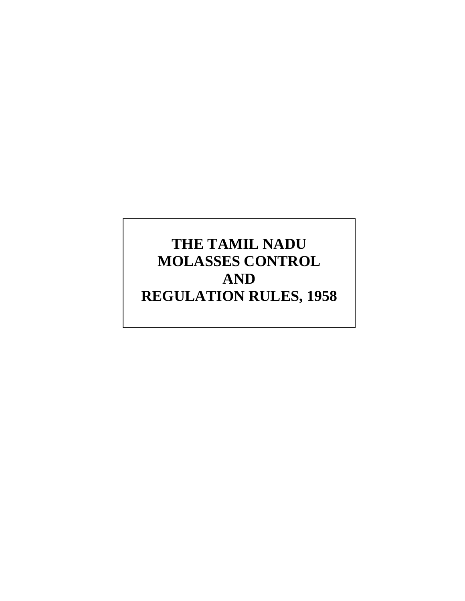# **THE TAMIL NADU MOLASSES CONTROL AND REGULATION RULES, 1958**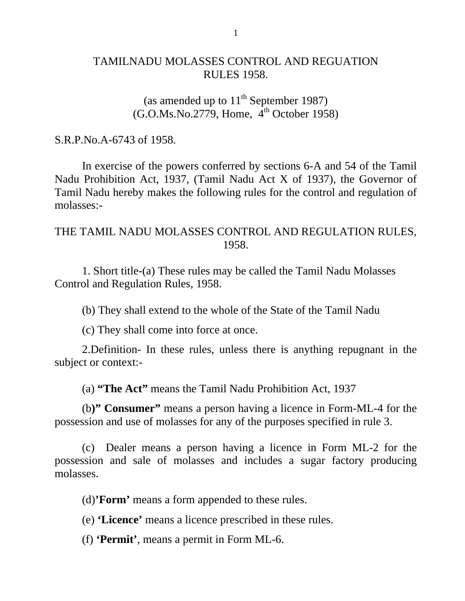### TAMILNADU MOLASSES CONTROL AND REGUATION RULES 1958.

## (as amended up to  $11<sup>th</sup>$  September 1987)  $(G.O.Ms.No.2779, Home, 4<sup>th</sup> October 1958)$

#### S.R.P.No.A-6743 of 1958.

 In exercise of the powers conferred by sections 6-A and 54 of the Tamil Nadu Prohibition Act, 1937, (Tamil Nadu Act X of 1937), the Governor of Tamil Nadu hereby makes the following rules for the control and regulation of molasses:-

#### THE TAMIL NADU MOLASSES CONTROL AND REGULATION RULES, 1958.

1. Short title-(a) These rules may be called the Tamil Nadu Molasses Control and Regulation Rules, 1958.

(b) They shall extend to the whole of the State of the Tamil Nadu

(c) They shall come into force at once.

 2.Definition- In these rules, unless there is anything repugnant in the subject or context:-

(a) **"The Act"** means the Tamil Nadu Prohibition Act, 1937

 (b**)" Consumer"** means a person having a licence in Form-ML-4 for the possession and use of molasses for any of the purposes specified in rule 3.

(c) Dealer means a person having a licence in Form ML-2 for the possession and sale of molasses and includes a sugar factory producing molasses.

(d)**'Form'** means a form appended to these rules.

(e) **'Licence'** means a licence prescribed in these rules.

(f) **'Permit'**, means a permit in Form ML-6.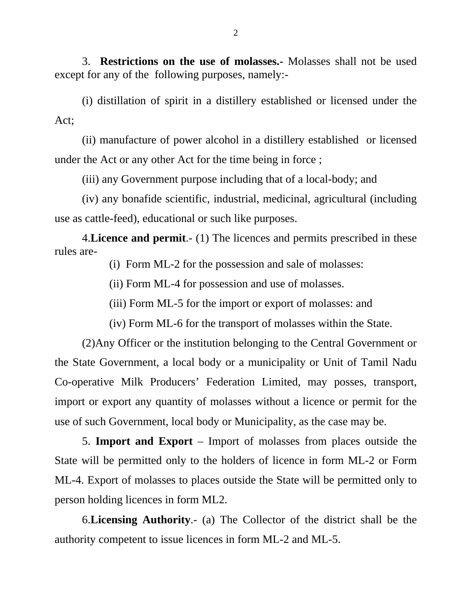3. **Restrictions on the use of molasses.-** Molasses shall not be used except for any of the following purposes, namely:-

 (i) distillation of spirit in a distillery established or licensed under the Act;

 (ii) manufacture of power alcohol in a distillery established or licensed under the Act or any other Act for the time being in force ;

(iii) any Government purpose including that of a local-body; and

 (iv) any bonafide scientific, industrial, medicinal, agricultural (including use as cattle-feed), educational or such like purposes.

4.**Licence and permit**.- (1) The licences and permits prescribed in these rules are-

(i) Form ML-2 for the possession and sale of molasses:

(ii) Form ML-4 for possession and use of molasses.

(iii) Form ML-5 for the import or export of molasses: and

(iv) Form ML-6 for the transport of molasses within the State.

(2)Any Officer or the institution belonging to the Central Government or the State Government, a local body or a municipality or Unit of Tamil Nadu Co-operative Milk Producers' Federation Limited, may posses, transport, import or export any quantity of molasses without a licence or permit for the use of such Government, local body or Municipality, as the case may be.

5. **Import and Export** – Import of molasses from places outside the State will be permitted only to the holders of licence in form ML-2 or Form ML-4. Export of molasses to places outside the State will be permitted only to person holding licences in form ML2.

6.**Licensing Authority**.- (a) The Collector of the district shall be the authority competent to issue licences in form ML-2 and ML-5.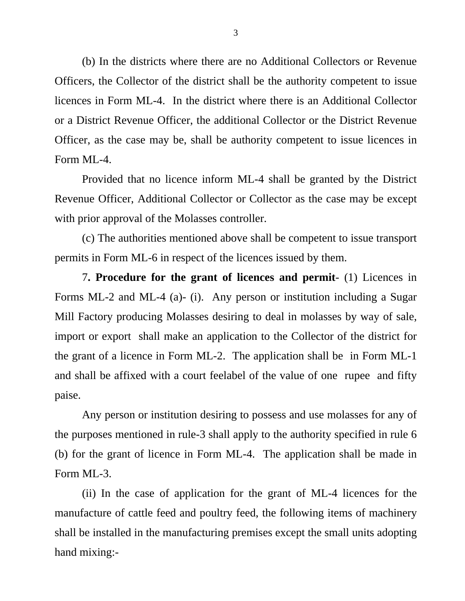(b) In the districts where there are no Additional Collectors or Revenue Officers, the Collector of the district shall be the authority competent to issue licences in Form ML-4. In the district where there is an Additional Collector or a District Revenue Officer, the additional Collector or the District Revenue Officer, as the case may be, shall be authority competent to issue licences in Form ML-4.

 Provided that no licence inform ML-4 shall be granted by the District Revenue Officer, Additional Collector or Collector as the case may be except with prior approval of the Molasses controller.

 (c) The authorities mentioned above shall be competent to issue transport permits in Form ML-6 in respect of the licences issued by them.

7**. Procedure for the grant of licences and permit**- (1) Licences in Forms ML-2 and ML-4 (a)- (i). Any person or institution including a Sugar Mill Factory producing Molasses desiring to deal in molasses by way of sale, import or export shall make an application to the Collector of the district for the grant of a licence in Form ML-2. The application shall be in Form ML-1 and shall be affixed with a court feelabel of the value of one rupee and fifty paise.

 Any person or institution desiring to possess and use molasses for any of the purposes mentioned in rule-3 shall apply to the authority specified in rule 6 (b) for the grant of licence in Form ML-4. The application shall be made in Form ML-3.

 (ii) In the case of application for the grant of ML-4 licences for the manufacture of cattle feed and poultry feed, the following items of machinery shall be installed in the manufacturing premises except the small units adopting hand mixing:-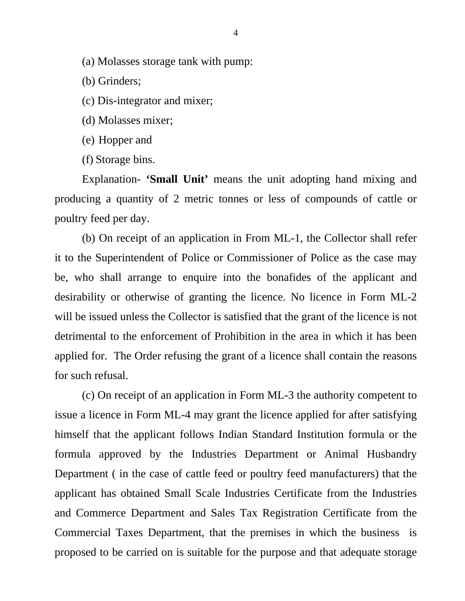(a) Molasses storage tank with pump:

(b) Grinders;

(c) Dis-integrator and mixer;

(d) Molasses mixer;

(e) Hopper and

(f) Storage bins.

Explanation- **'Small Unit'** means the unit adopting hand mixing and producing a quantity of 2 metric tonnes or less of compounds of cattle or poultry feed per day.

 (b) On receipt of an application in From ML-1, the Collector shall refer it to the Superintendent of Police or Commissioner of Police as the case may be, who shall arrange to enquire into the bonafides of the applicant and desirability or otherwise of granting the licence. No licence in Form ML-2 will be issued unless the Collector is satisfied that the grant of the licence is not detrimental to the enforcement of Prohibition in the area in which it has been applied for. The Order refusing the grant of a licence shall contain the reasons for such refusal.

 (c) On receipt of an application in Form ML-3 the authority competent to issue a licence in Form ML-4 may grant the licence applied for after satisfying himself that the applicant follows Indian Standard Institution formula or the formula approved by the Industries Department or Animal Husbandry Department ( in the case of cattle feed or poultry feed manufacturers) that the applicant has obtained Small Scale Industries Certificate from the Industries and Commerce Department and Sales Tax Registration Certificate from the Commercial Taxes Department, that the premises in which the business is proposed to be carried on is suitable for the purpose and that adequate storage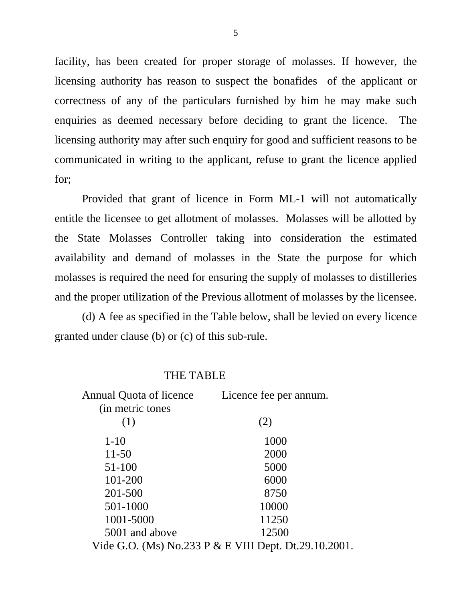facility, has been created for proper storage of molasses. If however, the licensing authority has reason to suspect the bonafides of the applicant or correctness of any of the particulars furnished by him he may make such enquiries as deemed necessary before deciding to grant the licence. The licensing authority may after such enquiry for good and sufficient reasons to be communicated in writing to the applicant, refuse to grant the licence applied for;

 Provided that grant of licence in Form ML-1 will not automatically entitle the licensee to get allotment of molasses. Molasses will be allotted by the State Molasses Controller taking into consideration the estimated availability and demand of molasses in the State the purpose for which molasses is required the need for ensuring the supply of molasses to distilleries and the proper utilization of the Previous allotment of molasses by the licensee.

 (d) A fee as specified in the Table below, shall be levied on every licence granted under clause (b) or (c) of this sub-rule.

#### THE TABLE

| Annual Quota of licence | Licence fee per annum.                                |
|-------------------------|-------------------------------------------------------|
| (in metric tones        |                                                       |
| (1)                     | (2)                                                   |
| $1-10$                  | 1000                                                  |
| $11 - 50$               | 2000                                                  |
| 51-100                  | 5000                                                  |
| 101-200                 | 6000                                                  |
| 201-500                 | 8750                                                  |
| 501-1000                | 10000                                                 |
| 1001-5000               | 11250                                                 |
| 5001 and above          | 12500                                                 |
|                         | Vide G.O. (Ms) No.233 P & E VIII Dept. Dt.29.10.2001. |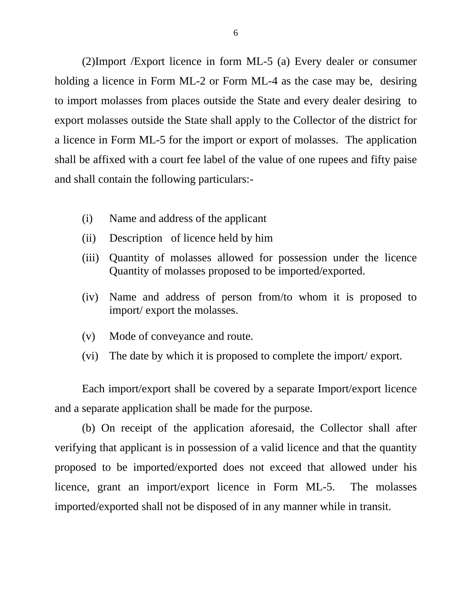(2)Import /Export licence in form ML-5 (a) Every dealer or consumer holding a licence in Form ML-2 or Form ML-4 as the case may be, desiring to import molasses from places outside the State and every dealer desiring to export molasses outside the State shall apply to the Collector of the district for a licence in Form ML-5 for the import or export of molasses. The application shall be affixed with a court fee label of the value of one rupees and fifty paise and shall contain the following particulars:-

- (i) Name and address of the applicant
- (ii) Description of licence held by him
- (iii) Quantity of molasses allowed for possession under the licence Quantity of molasses proposed to be imported/exported.
- (iv) Name and address of person from/to whom it is proposed to import/ export the molasses.
- (v) Mode of conveyance and route.
- (vi) The date by which it is proposed to complete the import/ export.

Each import/export shall be covered by a separate Import/export licence and a separate application shall be made for the purpose.

(b) On receipt of the application aforesaid, the Collector shall after verifying that applicant is in possession of a valid licence and that the quantity proposed to be imported/exported does not exceed that allowed under his licence, grant an import/export licence in Form ML-5. The molasses imported/exported shall not be disposed of in any manner while in transit.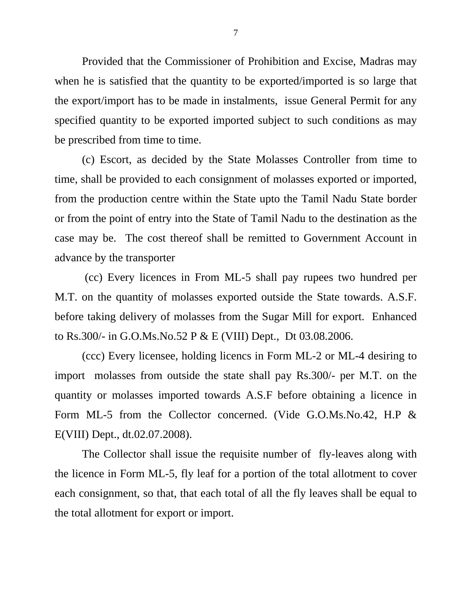Provided that the Commissioner of Prohibition and Excise, Madras may when he is satisfied that the quantity to be exported/imported is so large that the export/import has to be made in instalments, issue General Permit for any specified quantity to be exported imported subject to such conditions as may be prescribed from time to time.

(c) Escort, as decided by the State Molasses Controller from time to time, shall be provided to each consignment of molasses exported or imported, from the production centre within the State upto the Tamil Nadu State border or from the point of entry into the State of Tamil Nadu to the destination as the case may be. The cost thereof shall be remitted to Government Account in advance by the transporter

 (cc) Every licences in From ML-5 shall pay rupees two hundred per M.T. on the quantity of molasses exported outside the State towards. A.S.F. before taking delivery of molasses from the Sugar Mill for export. Enhanced to Rs.300/- in G.O.Ms.No.52 P & E (VIII) Dept., Dt 03.08.2006.

(ccc) Every licensee, holding licencs in Form ML-2 or ML-4 desiring to import molasses from outside the state shall pay Rs.300/- per M.T. on the quantity or molasses imported towards A.S.F before obtaining a licence in Form ML-5 from the Collector concerned. (Vide G.O.Ms.No.42, H.P & E(VIII) Dept., dt.02.07.2008).

The Collector shall issue the requisite number of fly-leaves along with the licence in Form ML-5, fly leaf for a portion of the total allotment to cover each consignment, so that, that each total of all the fly leaves shall be equal to the total allotment for export or import.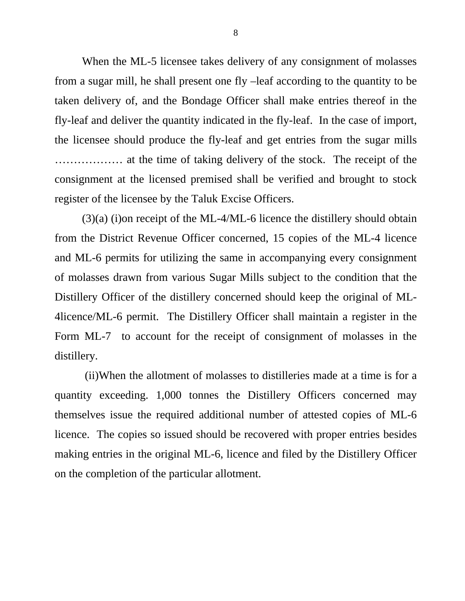When the ML-5 licensee takes delivery of any consignment of molasses from a sugar mill, he shall present one fly –leaf according to the quantity to be taken delivery of, and the Bondage Officer shall make entries thereof in the fly-leaf and deliver the quantity indicated in the fly-leaf. In the case of import, the licensee should produce the fly-leaf and get entries from the sugar mills ……………… at the time of taking delivery of the stock. The receipt of the consignment at the licensed premised shall be verified and brought to stock register of the licensee by the Taluk Excise Officers.

 (3)(a) (i)on receipt of the ML-4/ML-6 licence the distillery should obtain from the District Revenue Officer concerned, 15 copies of the ML-4 licence and ML-6 permits for utilizing the same in accompanying every consignment of molasses drawn from various Sugar Mills subject to the condition that the Distillery Officer of the distillery concerned should keep the original of ML-4licence/ML-6 permit. The Distillery Officer shall maintain a register in the Form ML-7 to account for the receipt of consignment of molasses in the distillery.

 (ii)When the allotment of molasses to distilleries made at a time is for a quantity exceeding. 1,000 tonnes the Distillery Officers concerned may themselves issue the required additional number of attested copies of ML-6 licence. The copies so issued should be recovered with proper entries besides making entries in the original ML-6, licence and filed by the Distillery Officer on the completion of the particular allotment.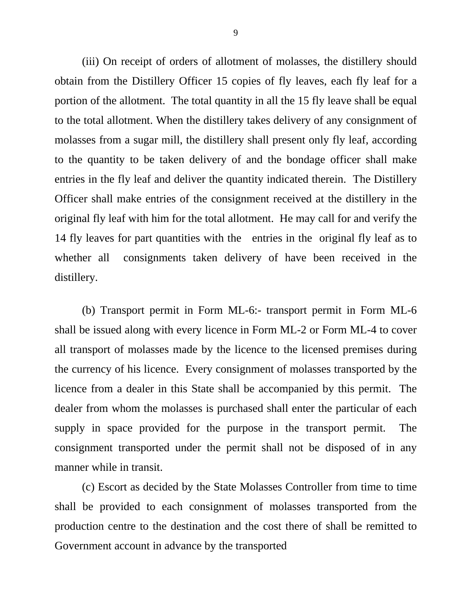(iii) On receipt of orders of allotment of molasses, the distillery should obtain from the Distillery Officer 15 copies of fly leaves, each fly leaf for a portion of the allotment. The total quantity in all the 15 fly leave shall be equal to the total allotment. When the distillery takes delivery of any consignment of molasses from a sugar mill, the distillery shall present only fly leaf, according to the quantity to be taken delivery of and the bondage officer shall make entries in the fly leaf and deliver the quantity indicated therein. The Distillery Officer shall make entries of the consignment received at the distillery in the original fly leaf with him for the total allotment. He may call for and verify the 14 fly leaves for part quantities with the entries in the original fly leaf as to whether all consignments taken delivery of have been received in the distillery.

 (b) Transport permit in Form ML-6:- transport permit in Form ML-6 shall be issued along with every licence in Form ML-2 or Form ML-4 to cover all transport of molasses made by the licence to the licensed premises during the currency of his licence. Every consignment of molasses transported by the licence from a dealer in this State shall be accompanied by this permit. The dealer from whom the molasses is purchased shall enter the particular of each supply in space provided for the purpose in the transport permit. The consignment transported under the permit shall not be disposed of in any manner while in transit.

 (c) Escort as decided by the State Molasses Controller from time to time shall be provided to each consignment of molasses transported from the production centre to the destination and the cost there of shall be remitted to Government account in advance by the transported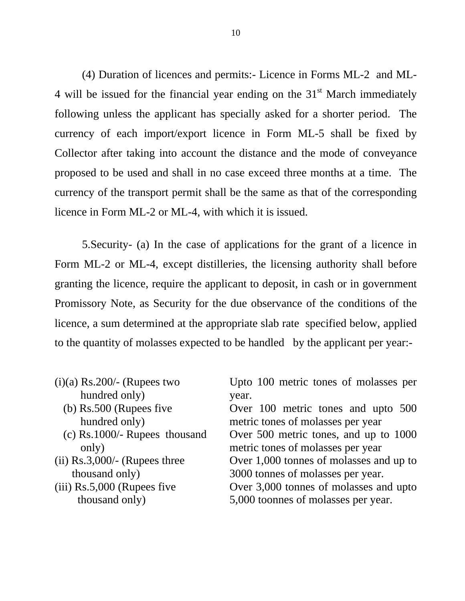(4) Duration of licences and permits:- Licence in Forms ML-2 and ML-4 will be issued for the financial year ending on the  $31<sup>st</sup>$  March immediately following unless the applicant has specially asked for a shorter period. The currency of each import/export licence in Form ML-5 shall be fixed by Collector after taking into account the distance and the mode of conveyance proposed to be used and shall in no case exceed three months at a time. The currency of the transport permit shall be the same as that of the corresponding licence in Form ML-2 or ML-4, with which it is issued.

 5.Security- (a) In the case of applications for the grant of a licence in Form ML-2 or ML-4, except distilleries, the licensing authority shall before granting the licence, require the applicant to deposit, in cash or in government Promissory Note, as Security for the due observance of the conditions of the licence, a sum determined at the appropriate slab rate specified below, applied to the quantity of molasses expected to be handled by the applicant per year:-

| Upto 100 metric tones of molasses per   |
|-----------------------------------------|
| year.                                   |
| Over 100 metric tones and upto 500      |
| metric tones of molasses per year       |
| Over 500 metric tones, and up to 1000   |
| metric tones of molasses per year       |
| Over 1,000 tonnes of molasses and up to |
| 3000 tonnes of molasses per year.       |
| Over 3,000 tonnes of molasses and upto  |
| 5,000 toonnes of molasses per year.     |
|                                         |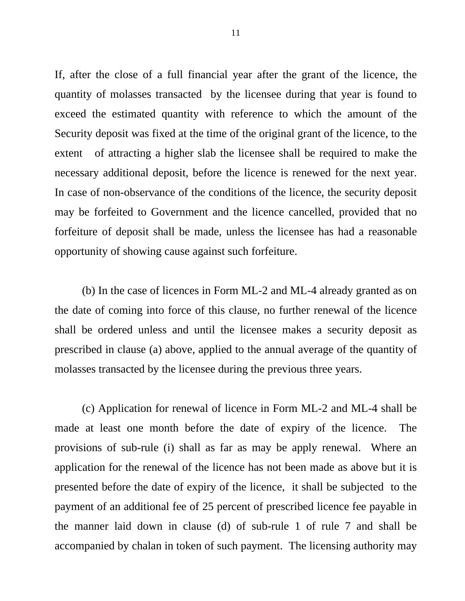If, after the close of a full financial year after the grant of the licence, the quantity of molasses transacted by the licensee during that year is found to exceed the estimated quantity with reference to which the amount of the Security deposit was fixed at the time of the original grant of the licence, to the extent of attracting a higher slab the licensee shall be required to make the necessary additional deposit, before the licence is renewed for the next year. In case of non-observance of the conditions of the licence, the security deposit may be forfeited to Government and the licence cancelled, provided that no forfeiture of deposit shall be made, unless the licensee has had a reasonable opportunity of showing cause against such forfeiture.

 (b) In the case of licences in Form ML-2 and ML-4 already granted as on the date of coming into force of this clause, no further renewal of the licence shall be ordered unless and until the licensee makes a security deposit as prescribed in clause (a) above, applied to the annual average of the quantity of molasses transacted by the licensee during the previous three years.

 (c) Application for renewal of licence in Form ML-2 and ML-4 shall be made at least one month before the date of expiry of the licence. The provisions of sub-rule (i) shall as far as may be apply renewal. Where an application for the renewal of the licence has not been made as above but it is presented before the date of expiry of the licence, it shall be subjected to the payment of an additional fee of 25 percent of prescribed licence fee payable in the manner laid down in clause (d) of sub-rule 1 of rule 7 and shall be accompanied by chalan in token of such payment. The licensing authority may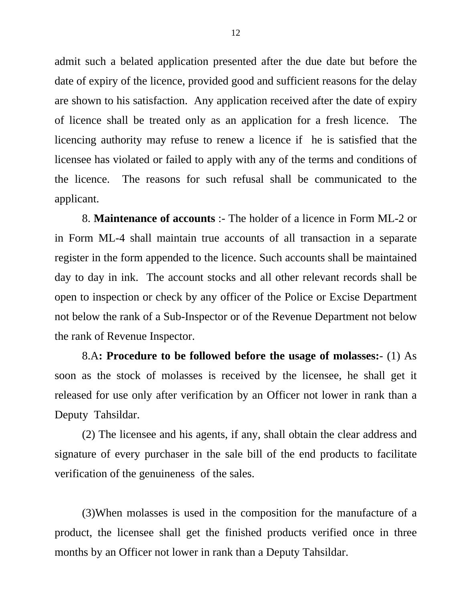admit such a belated application presented after the due date but before the date of expiry of the licence, provided good and sufficient reasons for the delay are shown to his satisfaction. Any application received after the date of expiry of licence shall be treated only as an application for a fresh licence. The licencing authority may refuse to renew a licence if he is satisfied that the licensee has violated or failed to apply with any of the terms and conditions of the licence. The reasons for such refusal shall be communicated to the applicant.

8. **Maintenance of accounts** :- The holder of a licence in Form ML-2 or in Form ML-4 shall maintain true accounts of all transaction in a separate register in the form appended to the licence. Such accounts shall be maintained day to day in ink. The account stocks and all other relevant records shall be open to inspection or check by any officer of the Police or Excise Department not below the rank of a Sub-Inspector or of the Revenue Department not below the rank of Revenue Inspector.

 8.A**: Procedure to be followed before the usage of molasses:**- (1) As soon as the stock of molasses is received by the licensee, he shall get it released for use only after verification by an Officer not lower in rank than a Deputy Tahsildar.

 (2) The licensee and his agents, if any, shall obtain the clear address and signature of every purchaser in the sale bill of the end products to facilitate verification of the genuineness of the sales.

(3)When molasses is used in the composition for the manufacture of a product, the licensee shall get the finished products verified once in three months by an Officer not lower in rank than a Deputy Tahsildar.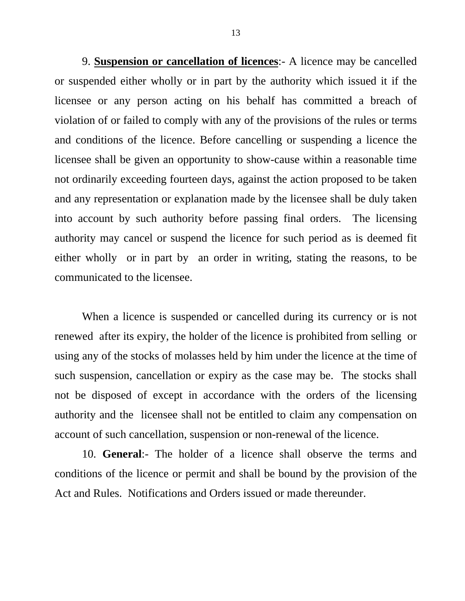9. **Suspension or cancellation of licences**:- A licence may be cancelled or suspended either wholly or in part by the authority which issued it if the licensee or any person acting on his behalf has committed a breach of violation of or failed to comply with any of the provisions of the rules or terms and conditions of the licence. Before cancelling or suspending a licence the licensee shall be given an opportunity to show-cause within a reasonable time not ordinarily exceeding fourteen days, against the action proposed to be taken and any representation or explanation made by the licensee shall be duly taken into account by such authority before passing final orders. The licensing authority may cancel or suspend the licence for such period as is deemed fit either wholly or in part by an order in writing, stating the reasons, to be communicated to the licensee.

When a licence is suspended or cancelled during its currency or is not renewed after its expiry, the holder of the licence is prohibited from selling or using any of the stocks of molasses held by him under the licence at the time of such suspension, cancellation or expiry as the case may be. The stocks shall not be disposed of except in accordance with the orders of the licensing authority and the licensee shall not be entitled to claim any compensation on account of such cancellation, suspension or non-renewal of the licence.

10. **General**:- The holder of a licence shall observe the terms and conditions of the licence or permit and shall be bound by the provision of the Act and Rules. Notifications and Orders issued or made thereunder.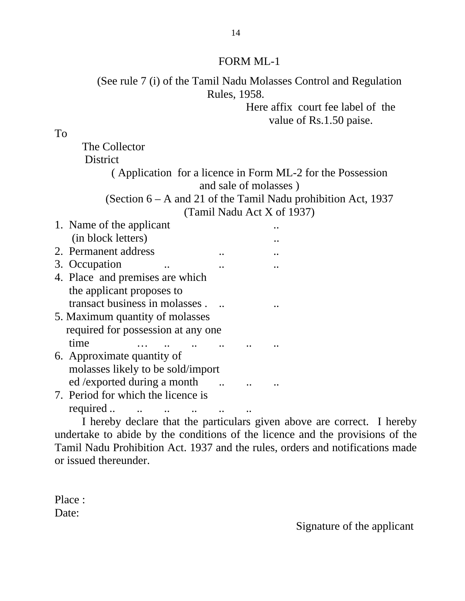(See rule 7 (i) of the Tamil Nadu Molasses Control and Regulation Rules, 1958.

> Here affix court fee label of the value of Rs.1.50 paise.

To

The Collector **District** ( Application for a licence in Form ML-2 for the Possession and sale of molasses ) (Section 6 – A and 21 of the Tamil Nadu prohibition Act, 1937

(Tamil Nadu Act X of 1937)

| 1. Name of the applicant           |  |  |
|------------------------------------|--|--|
| (in block letters)                 |  |  |
| 2. Permanent address               |  |  |
| 3. Occupation                      |  |  |
| 4. Place and premises are which    |  |  |
| the applicant proposes to          |  |  |
| transact business in molasses.     |  |  |
| 5. Maximum quantity of molasses    |  |  |
| required for possession at any one |  |  |
| time                               |  |  |
| 6. Approximate quantity of         |  |  |
| molasses likely to be sold/import  |  |  |
| ed / exported during a month       |  |  |
| 7. Period for which the licence is |  |  |
| required                           |  |  |

I hereby declare that the particulars given above are correct. I hereby undertake to abide by the conditions of the licence and the provisions of the Tamil Nadu Prohibition Act. 1937 and the rules, orders and notifications made or issued thereunder.

Place : Date:

Signature of the applicant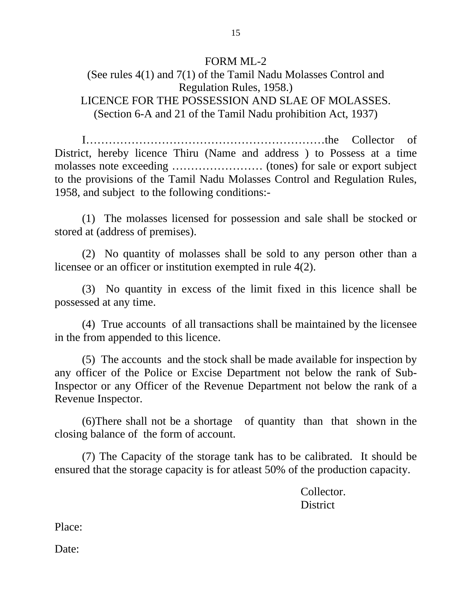## (See rules 4(1) and 7(1) of the Tamil Nadu Molasses Control and Regulation Rules, 1958.) LICENCE FOR THE POSSESSION AND SLAE OF MOLASSES. (Section 6-A and 21 of the Tamil Nadu prohibition Act, 1937)

I………………………………………………………the Collector of District, hereby licence Thiru (Name and address ) to Possess at a time molasses note exceeding …………………… (tones) for sale or export subject to the provisions of the Tamil Nadu Molasses Control and Regulation Rules, 1958, and subject to the following conditions:-

(1) The molasses licensed for possession and sale shall be stocked or stored at (address of premises).

(2) No quantity of molasses shall be sold to any person other than a licensee or an officer or institution exempted in rule 4(2).

(3) No quantity in excess of the limit fixed in this licence shall be possessed at any time.

(4) True accounts of all transactions shall be maintained by the licensee in the from appended to this licence.

(5) The accounts and the stock shall be made available for inspection by any officer of the Police or Excise Department not below the rank of Sub-Inspector or any Officer of the Revenue Department not below the rank of a Revenue Inspector.

(6)There shall not be a shortage of quantity than that shown in the closing balance of the form of account.

 (7) The Capacity of the storage tank has to be calibrated. It should be ensured that the storage capacity is for atleast 50% of the production capacity.

 Collector. District **District** 

Place:

Date: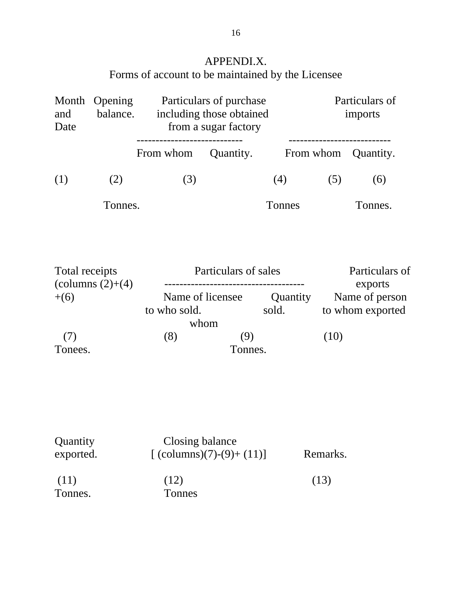APPENDI.X. Forms of account to be maintained by the Licensee

| Opening<br>Month<br>balance.<br>and<br>Date      |         | Particulars of purchase<br>including those obtained<br>from a sugar factory |                      |                   | Particulars of<br>imports          |                           |
|--------------------------------------------------|---------|-----------------------------------------------------------------------------|----------------------|-------------------|------------------------------------|---------------------------|
|                                                  |         | From whom                                                                   | Quantity.            | From whom         |                                    | Quantity.                 |
| (1)                                              | (2)     | (3)                                                                         |                      | (4)               | (5)                                | (6)                       |
|                                                  | Tonnes. |                                                                             |                      | Tonnes            |                                    | Tonnes.                   |
| Total receipts<br>(columns $(2)+(4)$ )<br>$+(6)$ |         |                                                                             | Particulars of sales |                   |                                    | Particulars of<br>exports |
|                                                  |         | Name of licensee<br>to who sold.<br>whom                                    |                      | Quantity<br>sold. | Name of person<br>to whom exported |                           |
| (7)                                              |         | (8)                                                                         | (9)                  |                   | (10)                               |                           |
| Tonnes.<br>Tonees.                               |         |                                                                             |                      |                   |                                    |                           |

| Quantity<br>exported. | Closing balance<br>[ $\text{(columns)}(7)-(9)+(11)$ ] | Remarks. |  |
|-----------------------|-------------------------------------------------------|----------|--|
| (11)<br>Tonnes.       | (12)<br>Tonnes                                        | (13)     |  |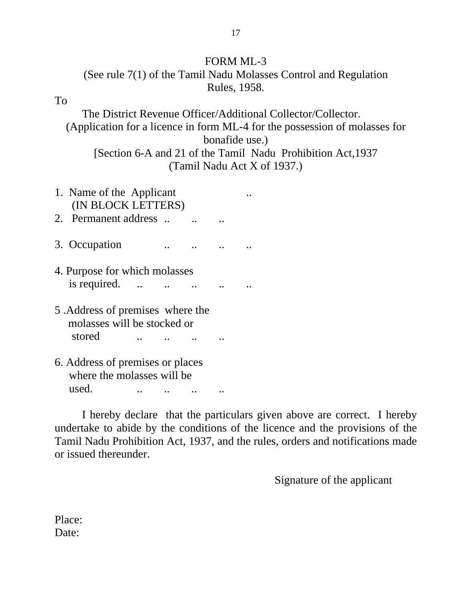## (See rule 7(1) of the Tamil Nadu Molasses Control and Regulation Rules, 1958.

#### To

 The District Revenue Officer/Additional Collector/Collector. (Application for a licence in form ML-4 for the possession of molasses for bonafide use.) [Section 6-A and 21 of the Tamil Nadu Prohibition Act,1937 (Tamil Nadu Act X of 1937.)

- 1. Name of the Applicant ... (IN BLOCK LETTERS) 2. Permanent address ...
- 3. Occupation ... ... ... ...
- 4. Purpose for which molasses is required.  $\ldots$   $\ldots$   $\ldots$   $\ldots$
- 5 .Address of premises where the molasses will be stocked or stored ... ... ... ...
- 6. Address of premises or places where the molasses will be used. ... ... ... ...

 I hereby declare that the particulars given above are correct. I hereby undertake to abide by the conditions of the licence and the provisions of the Tamil Nadu Prohibition Act, 1937, and the rules, orders and notifications made or issued thereunder.

Signature of the applicant

Place: Date: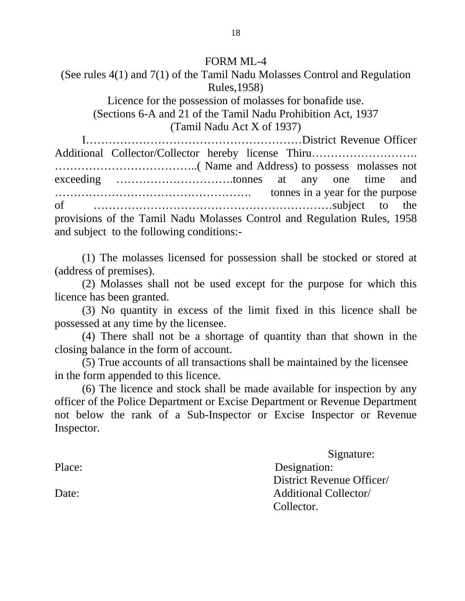(See rules 4(1) and 7(1) of the Tamil Nadu Molasses Control and Regulation Rules,1958)

Licence for the possession of molasses for bonafide use. (Sections 6-A and 21 of the Tamil Nadu Prohibition Act, 1937 (Tamil Nadu Act X of 1937)

I…………………………………………………District Revenue Officer Additional Collector/Collector hereby license Thiru………………………. ………………………………..( Name and Address) to possess molasses not exceeding ………………………….tonnes at any one time and ……………………………………………. tonnes in a year for the purpose of ………………………………………………………subject to the provisions of the Tamil Nadu Molasses Control and Regulation Rules, 1958 and subject to the following conditions:-

(1) The molasses licensed for possession shall be stocked or stored at (address of premises).

(2) Molasses shall not be used except for the purpose for which this licence has been granted.

(3) No quantity in excess of the limit fixed in this licence shall be possessed at any time by the licensee.

(4) There shall not be a shortage of quantity than that shown in the closing balance in the form of account.

(5) True accounts of all transactions shall be maintained by the licensee in the form appended to this licence.

(6) The licence and stock shall be made available for inspection by any officer of the Police Department or Excise Department or Revenue Department not below the rank of a Sub-Inspector or Excise Inspector or Revenue Inspector.

Signature:

Place: Designation: District Revenue Officer/ Date: **Additional Collector** Collector.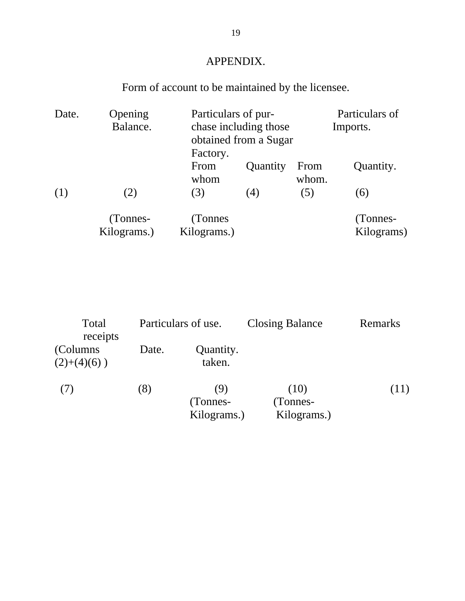# APPENDIX.

# Form of account to be maintained by the licensee.

| Date. | Opening<br>Balance.     | Factory.                | Particulars of pur-<br>chase including those<br>obtained from a Sugar |               |                        |
|-------|-------------------------|-------------------------|-----------------------------------------------------------------------|---------------|------------------------|
|       |                         | From<br>whom            | Quantity                                                              | From<br>whom. | Quantity.              |
| (1)   | (2)                     | (3)                     | (4)                                                                   | (5)           | (6)                    |
|       | (Tonnes-<br>Kilograms.) | (Tonnes)<br>Kilograms.) |                                                                       |               | (Tonnes-<br>Kilograms) |

| Total<br>receipts         |       | Particulars of use.            | <b>Closing Balance</b>          | Remarks |
|---------------------------|-------|--------------------------------|---------------------------------|---------|
| (Columns)<br>$(2)+(4)(6)$ | Date. | Quantity.<br>taken.            |                                 |         |
| (7)                       | (8)   | (9)<br>(Tonnes-<br>Kilograms.) | (10)<br>(Tonnes-<br>Kilograms.) | (11)    |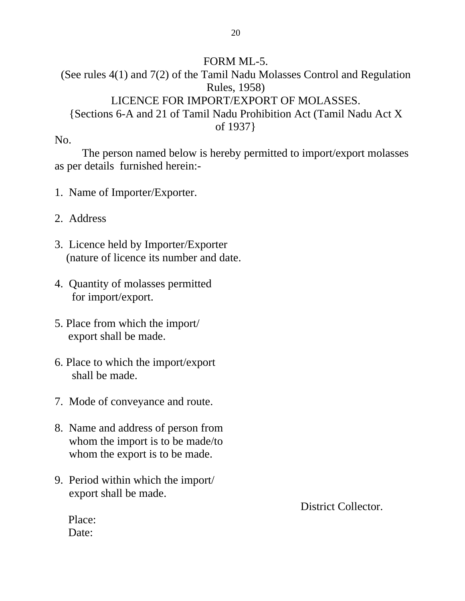## FORM ML-5.

(See rules 4(1) and 7(2) of the Tamil Nadu Molasses Control and Regulation Rules, 1958) LICENCE FOR IMPORT/EXPORT OF MOLASSES. {Sections 6-A and 21 of Tamil Nadu Prohibition Act (Tamil Nadu Act X of 1937}

No.

 The person named below is hereby permitted to import/export molasses as per details furnished herein:-

- 1. Name of Importer/Exporter.
- 2. Address
- 3. Licence held by Importer/Exporter (nature of licence its number and date.
- 4. Quantity of molasses permitted for import/export.
- 5. Place from which the import/ export shall be made.
- 6. Place to which the import/export shall be made.
- 7. Mode of conveyance and route.
- 8. Name and address of person from whom the import is to be made/to whom the export is to be made.
- 9. Period within which the import/ export shall be made.

District Collector.

Place: Date: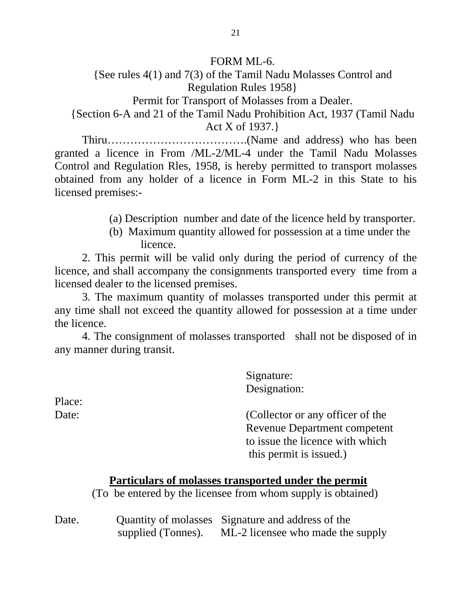### FORM ML-6.

{See rules 4(1) and 7(3) of the Tamil Nadu Molasses Control and Regulation Rules 1958} Permit for Transport of Molasses from a Dealer.

{Section 6-A and 21 of the Tamil Nadu Prohibition Act, 1937 (Tamil Nadu Act X of 1937.}

Thiru……………………………….(Name and address) who has been granted a licence in From /ML-2/ML-4 under the Tamil Nadu Molasses Control and Regulation Rles, 1958, is hereby permitted to transport molasses obtained from any holder of a licence in Form ML-2 in this State to his licensed premises:-

- (a) Description number and date of the licence held by transporter.
- (b) Maximum quantity allowed for possession at a time under the licence.

 2. This permit will be valid only during the period of currency of the licence, and shall accompany the consignments transported every time from a licensed dealer to the licensed premises.

 3. The maximum quantity of molasses transported under this permit at any time shall not exceed the quantity allowed for possession at a time under the licence.

 4. The consignment of molasses transported shall not be disposed of in any manner during transit.

 Signature: Designation: Date: (Collector or any officer of the

 Revenue Department competent to issue the licence with which this permit is issued.)

## **Particulars of molasses transported under the permit**

(To be entered by the licensee from whom supply is obtained)

Date. Quantity of molasses Signature and address of the supplied (Tonnes). ML-2 licensee who made the supply

Place: